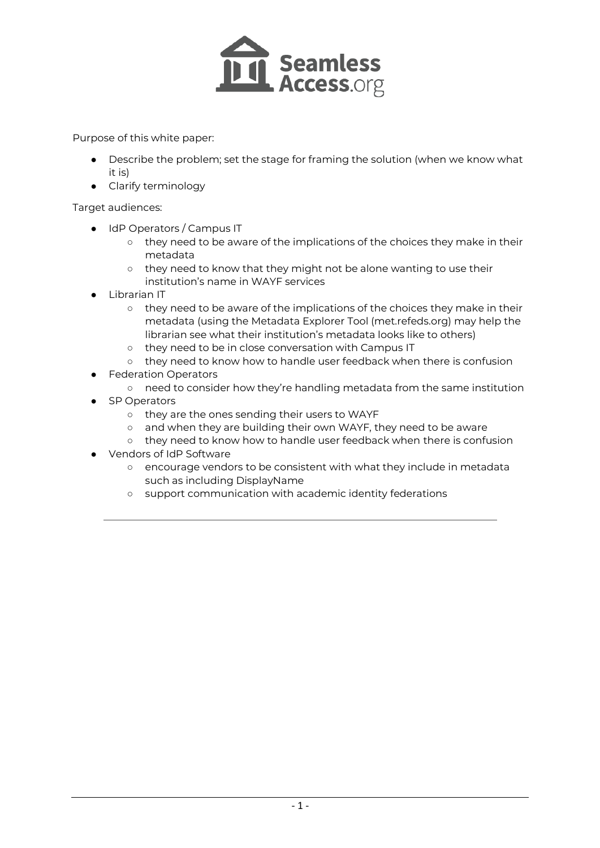

Purpose of this white paper:

- Describe the problem; set the stage for framing the solution (when we know what it is)
- Clarify terminology

#### Target audiences:

- IdP Operators / Campus IT
	- they need to be aware of the implications of the choices they make in their metadata
	- they need to know that they might not be alone wanting to use their institution's name in WAYF services
- Librarian IT
	- they need to be aware of the implications of the choices they make in their metadata (using the Metadata Explorer Tool (met.refeds.org) may help the librarian see what their institution's metadata looks like to others)
	- they need to be in close conversation with Campus IT
	- they need to know how to handle user feedback when there is confusion
- **Federation Operators** 
	- need to consider how they're handling metadata from the same institution
- **SP Operators** 
	- they are the ones sending their users to WAYF
	- and when they are building their own WAYF, they need to be aware
	- they need to know how to handle user feedback when there is confusion
- Vendors of IdP Software
	- encourage vendors to be consistent with what they include in metadata such as including DisplayName
	- support communication with academic identity federations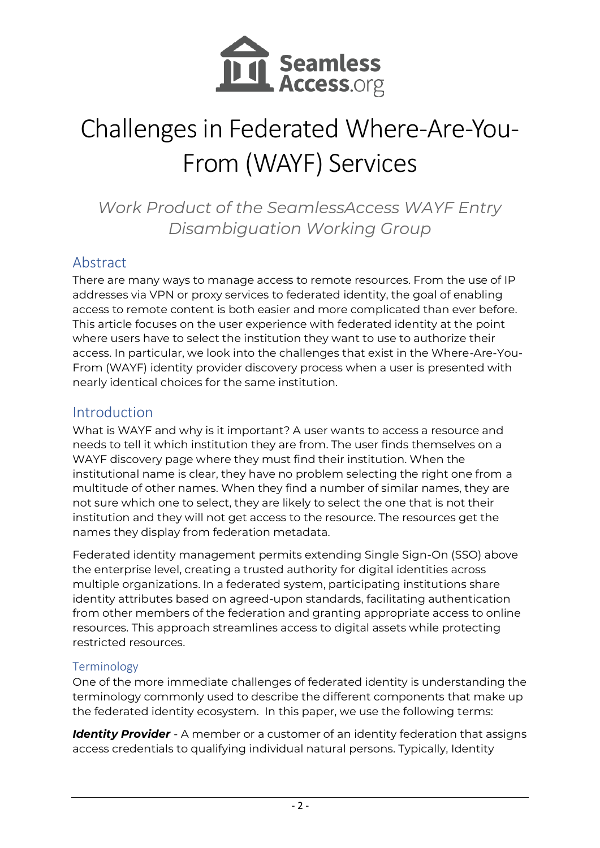

# Challenges in Federated Where-Are-You-From (WAYF) Services

*Work Product of the SeamlessAccess WAYF Entry Disambiguation Working Group*

## Abstract

There are many ways to manage access to remote resources. From the use of IP addresses via VPN or proxy services to federated identity, the goal of enabling access to remote content is both easier and more complicated than ever before. This article focuses on the user experience with federated identity at the point where users have to select the institution they want to use to authorize their access. In particular, we look into the challenges that exist in the Where-Are-You-From (WAYF) identity provider discovery process when a user is presented with nearly identical choices for the same institution.

## Introduction

What is WAYF and why is it important? A user wants to access a resource and needs to tell it which institution they are from. The user finds themselves on a WAYF discovery page where they must find their institution. When the institutional name is clear, they have no problem selecting the right one from a multitude of other names. When they find a number of similar names, they are not sure which one to select, they are likely to select the one that is not their institution and they will not get access to the resource. The resources get the names they display from federation metadata.

Federated identity management permits extending Single Sign-On (SSO) above the enterprise level, creating a trusted authority for digital identities across multiple organizations. In a federated system, participating institutions share identity attributes based on agreed-upon standards, facilitating authentication from other members of the federation and granting appropriate access to online resources. This approach streamlines access to digital assets while protecting restricted resources.

#### Terminology

One of the more immediate challenges of federated identity is understanding the terminology commonly used to describe the different components that make up the federated identity ecosystem. In this paper, we use the following terms:

*Identity Provider* - A member or a customer of an identity federation that assigns access credentials to qualifying individual natural persons. Typically, Identity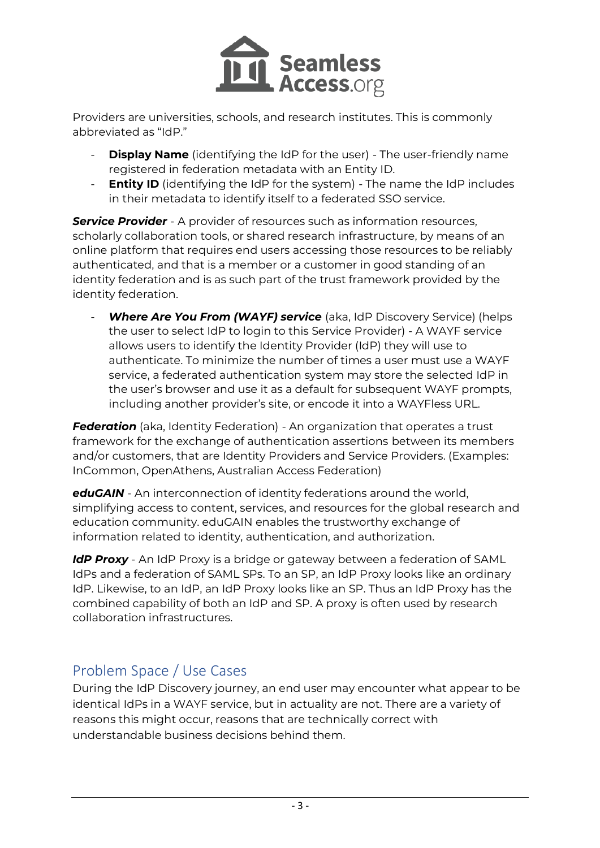

Providers are universities, schools, and research institutes. This is commonly abbreviated as "IdP."

- **Display Name** (identifying the IdP for the user) The user-friendly name registered in federation metadata with an Entity ID.
- **Entity ID** (identifying the IdP for the system) The name the IdP includes in their metadata to identify itself to a federated SSO service.

**Service Provider** - A provider of resources such as information resources, scholarly collaboration tools, or shared research infrastructure, by means of an online platform that requires end users accessing those resources to be reliably authenticated, and that is a member or a customer in good standing of an identity federation and is as such part of the trust framework provided by the identity federation.

**Where Are You From (WAYF) service** (aka, IdP Discovery Service) (helps the user to select IdP to login to this Service Provider) - A WAYF service allows users to identify the Identity Provider (IdP) they will use to authenticate. To minimize the number of times a user must use a WAYF service, a federated authentication system may store the selected IdP in the user's browser and use it as a default for subsequent WAYF prompts, including another provider's site, or encode it into a WAYFless URL.

**Federation** (aka, Identity Federation) - An organization that operates a trust framework for the exchange of authentication assertions between its members and/or customers, that are Identity Providers and Service Providers. (Examples: InCommon, OpenAthens, Australian Access Federation)

*eduGAIN* - An interconnection of identity federations around the world, simplifying access to content, services, and resources for the global research and education community. eduGAIN enables the trustworthy exchange of information related to identity, authentication, and authorization.

*IdP Proxy* - An IdP Proxy is a bridge or gateway between a federation of SAML IdPs and a federation of SAML SPs. To an SP, an IdP Proxy looks like an ordinary IdP. Likewise, to an IdP, an IdP Proxy looks like an SP. Thus an IdP Proxy has the combined capability of both an IdP and SP. A proxy is often used by research collaboration infrastructures.

# Problem Space / Use Cases

During the IdP Discovery journey, an end user may encounter what appear to be identical IdPs in a WAYF service, but in actuality are not. There are a variety of reasons this might occur, reasons that are technically correct with understandable business decisions behind them.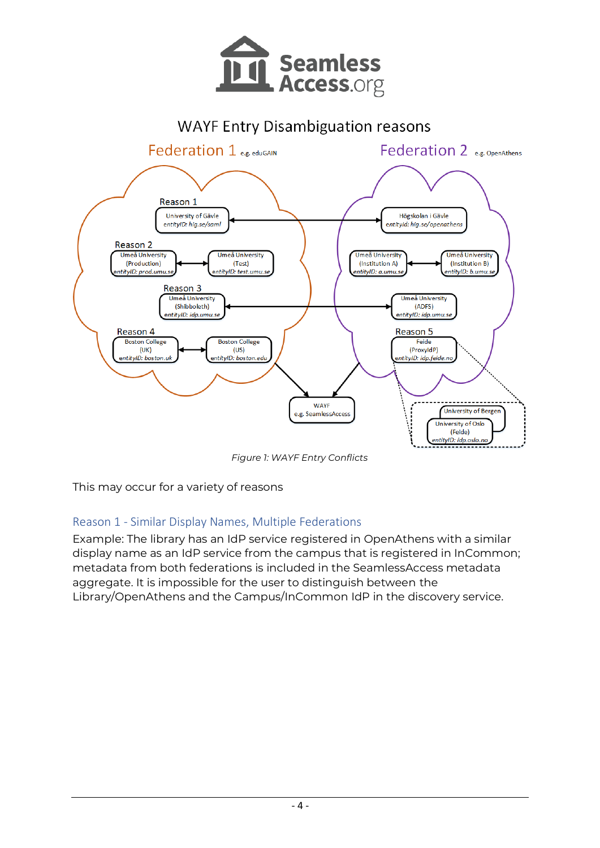

## **WAYF Entry Disambiguation reasons**



*Figure 1: WAYF Entry Conflicts* 

This may occur for a variety of reasons

### Reason 1 - Similar Display Names, Multiple Federations

Example: The library has an IdP service registered in OpenAthens with a similar display name as an IdP service from the campus that is registered in InCommon; metadata from both federations is included in the SeamlessAccess metadata aggregate. It is impossible for the user to distinguish between the Library/OpenAthens and the Campus/InCommon IdP in the discovery service.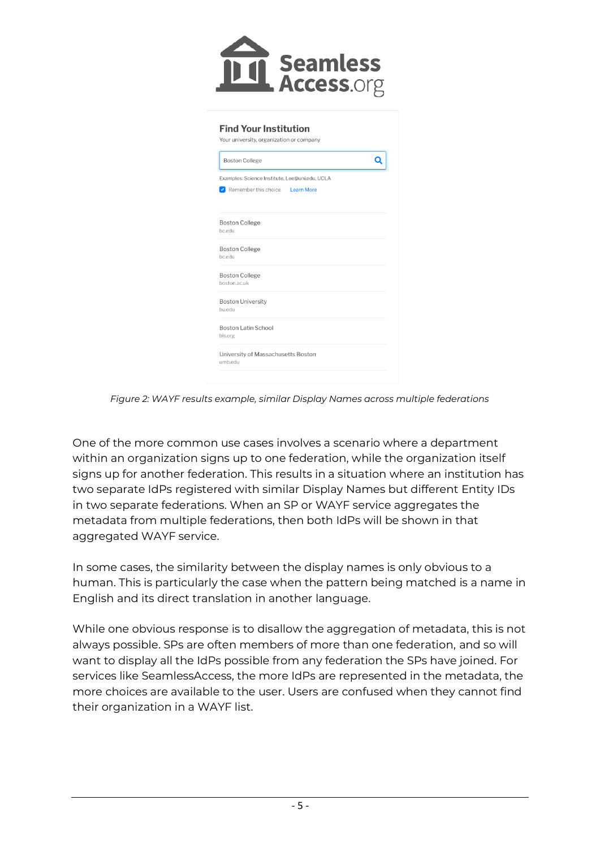

| <b>Boston College</b>                          |  |
|------------------------------------------------|--|
| Examples: Science Institute, Lee@uni.edu, UCLA |  |
| Remember this choice Learn More                |  |
| <b>Boston College</b>                          |  |
| bc.edu                                         |  |
| <b>Boston College</b>                          |  |
| bc.edu                                         |  |
| <b>Boston College</b>                          |  |
| boston.ac.uk                                   |  |
| <b>Boston University</b>                       |  |
| bu.edu                                         |  |
| <b>Boston Latin School</b>                     |  |
| bls.org                                        |  |

*Figure 2: WAYF results example, similar Display Names across multiple federations*

One of the more common use cases involves a scenario where a department within an organization signs up to one federation, while the organization itself signs up for another federation. This results in a situation where an institution has two separate IdPs registered with similar Display Names but different Entity IDs in two separate federations. When an SP or WAYF service aggregates the metadata from multiple federations, then both IdPs will be shown in that aggregated WAYF service.

In some cases, the similarity between the display names is only obvious to a human. This is particularly the case when the pattern being matched is a name in English and its direct translation in another language.

While one obvious response is to disallow the aggregation of metadata, this is not always possible. SPs are often members of more than one federation, and so will want to display all the IdPs possible from any federation the SPs have joined. For services like SeamlessAccess, the more IdPs are represented in the metadata, the more choices are available to the user. Users are confused when they cannot find their organization in a WAYF list.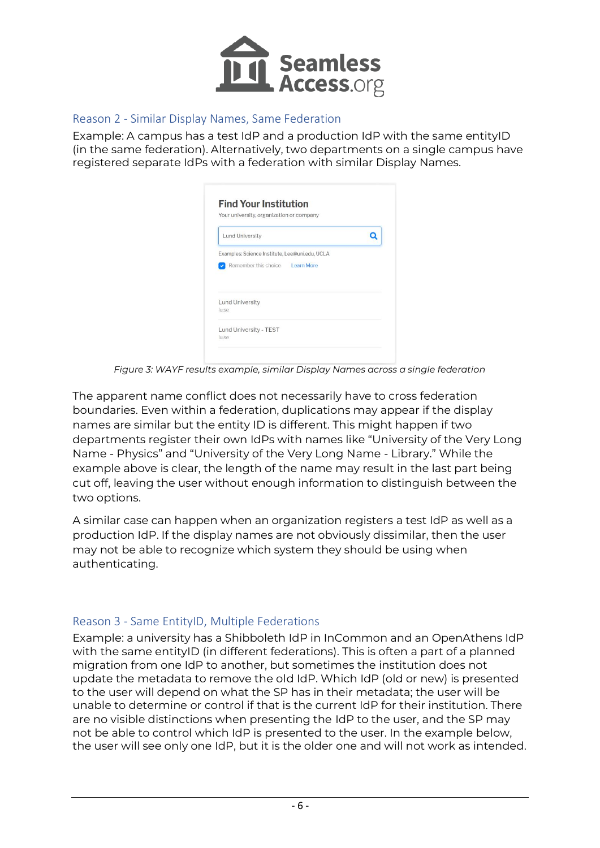

#### Reason 2 - Similar Display Names, Same Federation

Example: A campus has a test IdP and a production IdP with the same entityID (in the same federation). Alternatively, two departments on a single campus have registered separate IdPs with a federation with similar Display Names.

| Your university, organization or company       |  |
|------------------------------------------------|--|
| <b>Lund University</b>                         |  |
| Examples: Science Institute, Lee@uni.edu, UCLA |  |
|                                                |  |
| Remember this choice Learn More                |  |
|                                                |  |
|                                                |  |
| <b>Lund University</b>                         |  |
| lu.se                                          |  |
| Lund University - TEST                         |  |

*Figure 3: WAYF results example, similar Display Names across a single federation*

The apparent name conflict does not necessarily have to cross federation boundaries. Even within a federation, duplications may appear if the display names are similar but the entity ID is different. This might happen if two departments register their own IdPs with names like "University of the Very Long Name - Physics" and "University of the Very Long Name - Library." While the example above is clear, the length of the name may result in the last part being cut off, leaving the user without enough information to distinguish between the two options.

A similar case can happen when an organization registers a test IdP as well as a production IdP. If the display names are not obviously dissimilar, then the user may not be able to recognize which system they should be using when authenticating.

#### Reason 3 - Same EntityID, Multiple Federations

Example: a university has a Shibboleth IdP in InCommon and an OpenAthens IdP with the same entityID (in different federations). This is often a part of a planned migration from one IdP to another, but sometimes the institution does not update the metadata to remove the old IdP. Which IdP (old or new) is presented to the user will depend on what the SP has in their metadata; the user will be unable to determine or control if that is the current IdP for their institution. There are no visible distinctions when presenting the IdP to the user, and the SP may not be able to control which IdP is presented to the user. In the example below, the user will see only one IdP, but it is the older one and will not work as intended.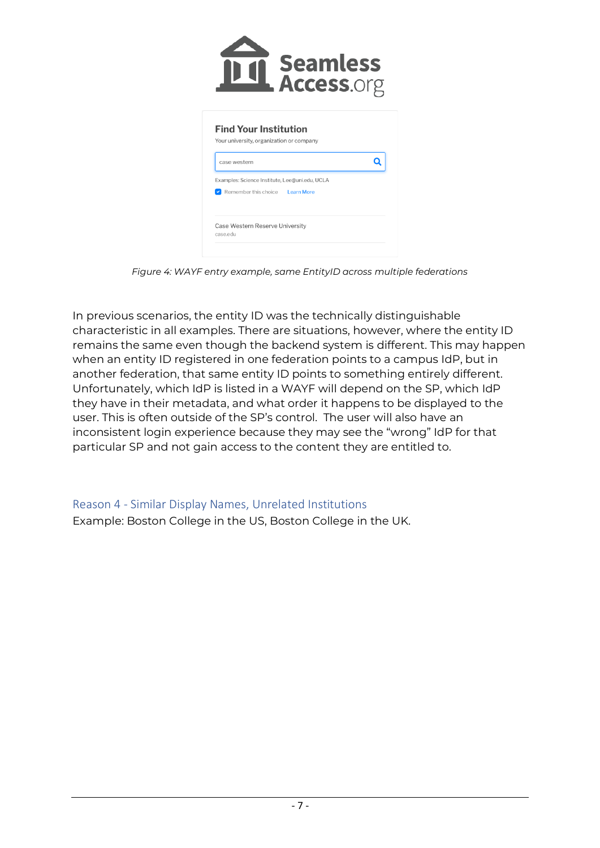|                                                                                          | <b>Seamless</b><br>. Access.org                |  |
|------------------------------------------------------------------------------------------|------------------------------------------------|--|
| <b>Find Your Institution</b><br>Your university, organization or company<br>case western |                                                |  |
| Remember this choice Learn More                                                          | Examples: Science Institute, Lee@uni.edu, UCLA |  |
| Case Western Reserve University<br>case.edu                                              |                                                |  |

*Figure 4: WAYF entry example, same EntityID across multiple federations* 

In previous scenarios, the entity ID was the technically distinguishable characteristic in all examples. There are situations, however, where the entity ID remains the same even though the backend system is different. This may happen when an entity ID registered in one federation points to a campus IdP, but in another federation, that same entity ID points to something entirely different. Unfortunately, which IdP is listed in a WAYF will depend on the SP, which IdP they have in their metadata, and what order it happens to be displayed to the user. This is often outside of the SP's control. The user will also have an inconsistent login experience because they may see the "wrong" IdP for that particular SP and not gain access to the content they are entitled to.

Reason 4 - Similar Display Names, Unrelated Institutions

Example: Boston College in the US, Boston College in the UK.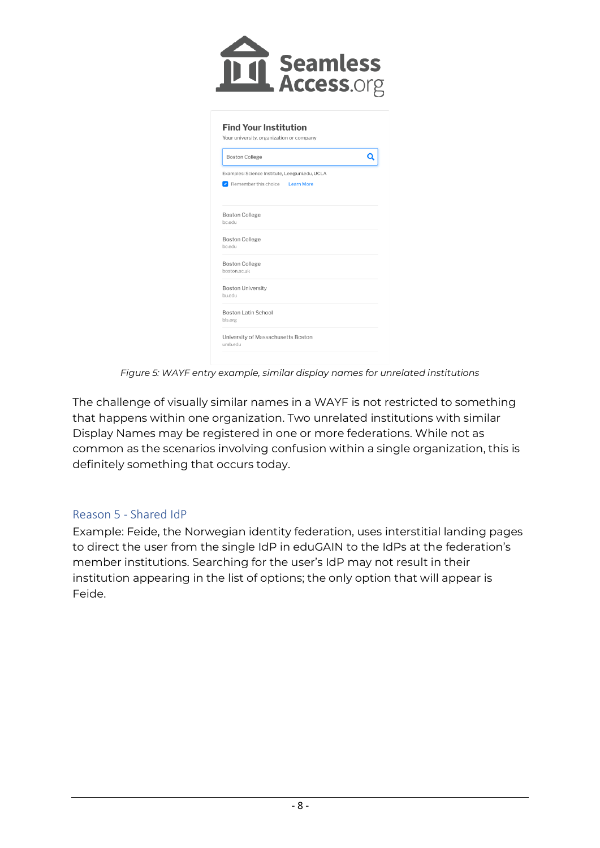

| <b>Boston College</b>                                                             | Q |
|-----------------------------------------------------------------------------------|---|
| Examples: Science Institute, Lee@uni.edu, UCLA<br>Remember this choice Learn More |   |
| <b>Boston College</b><br>bc.edu                                                   |   |
| <b>Boston College</b><br>bc.edu                                                   |   |
| <b>Boston College</b><br>boston.ac.uk                                             |   |
| <b>Boston University</b><br>bu.edu                                                |   |
| <b>Boston Latin School</b><br>bls.org                                             |   |

*Figure 5: WAYF entry example, similar display names for unrelated institutions*

The challenge of visually similar names in a WAYF is not restricted to something that happens within one organization. Two unrelated institutions with similar Display Names may be registered in one or more federations. While not as common as the scenarios involving confusion within a single organization, this is definitely something that occurs today.

#### Reason 5 - Shared IdP

Example: Feide, the Norwegian identity federation, uses interstitial landing pages to direct the user from the single IdP in eduGAIN to the IdPs at the federation's member institutions. Searching for the user's IdP may not result in their institution appearing in the list of options; the only option that will appear is Feide.